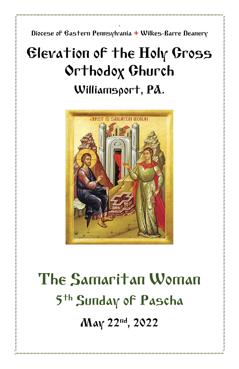- Diocese of Eastern Pennsylvania **+** Wilkes-Barre Deanery

## Elevation of the Holy Cross Orthodox Church Williamsport, PA.



# The Samaritan Woman 5 th Sunday of Pascha May 22nd, 2022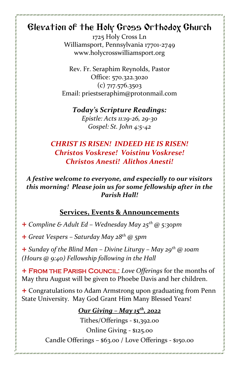## Elevation of the Holy Cross Orthodox Church

1725 Holy Cross Ln Williamsport, Pennsylvania 17701-2749 www.holycrosswilliamsport.org

Rev. Fr. Seraphim Reynolds, Pastor Office: 570.322.3020 (c) 717.576.3503 Email: priestseraphim@protonmail.com

*Today's Scripture Readings: Epistle: Acts 11:19-26, 29-30 Gospel: St. John 4:5-42*

#### *CHRIST IS RISEN! INDEED HE IS RISEN! Christos Voskrese! Voistinu Voskrese! Christos Anesti! Alithos Anesti!*

#### *A festive welcome to everyone, and especially to our visitors this morning! Please join us for some fellowship after in the Parish Hall!*

#### **Services, Events & Announcements**

+ *Compline & Adult Ed – Wednesday May 25th @ 5:30pm*

+ *Great Vespers – Saturday May 28th @ 5pm*

+ *Sunday of the Blind Man – Divine Liturgy – May 29 th @ 10am (Hours @ 9:40) Fellowship following in the Hall*

+ From the Parish Council: *Love Offerings* for the months of May thru August will be given to Phoebe Davis and her children.

+ Congratulations to Adam Armstrong upon graduating from Penn State University. May God Grant Him Many Blessed Years!

#### *Our Giving – May 15 th , 2022*

Tithes/Offerings - \$1,392.00 Online Giving - \$125.00 Candle Offerings – \$63.00 / Love Offerings - \$150.00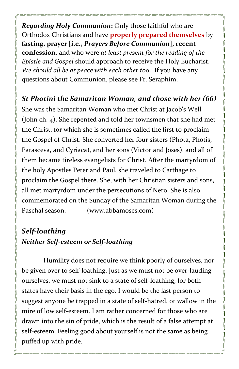*Regarding Holy Communion***:** Only those faithful who are Orthodox Christians and have **properly prepared themselves** by **fasting, prayer [i.e.,** *Prayers Before Communion***], recent confession**, and who were *at least present for the reading of the Epistle and Gospel* should approach to receive the Holy Eucharist. *We should all be at peace with each other too*. If you have any questions about Communion, please see Fr. Seraphim.

*St Photini the Samaritan Woman, and those with her (66)*

She was the Samaritan Woman who met Christ at Jacob's Well (John ch. 4). She repented and told her townsmen that she had met the Christ, for which she is sometimes called the first to proclaim the Gospel of Christ. She converted her four sisters (Phota, Photis, Parasceva, and Cyriaca), and her sons (Victor and Joses), and all of them became tireless evangelists for Christ. After the martyrdom of the holy Apostles Peter and Paul, she traveled to Carthage to proclaim the Gospel there. She, with her Christian sisters and sons, all met martyrdom under the persecutions of Nero. She is also commemorated on the Sunday of the Samaritan Woman during the Paschal season. (www.abbamoses.com)

### *Self-loathing Neither Self-esteem or Self-loathing*

Humility does not require we think poorly of ourselves, nor be given over to self-loathing. Just as we must not be over-lauding ourselves, we must not sink to a state of self-loathing, for both states have their basis in the ego. I would be the last person to suggest anyone be trapped in a state of self-hatred, or wallow in the mire of low self-esteem. I am rather concerned for those who are drawn into the sin of pride, which is the result of a false attempt at self-esteem. Feeling good about yourself is not the same as being puffed up with pride.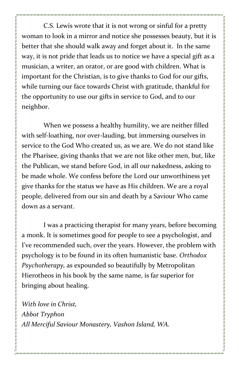C.S. Lewis wrote that it is not wrong or sinful for a pretty woman to look in a mirror and notice she possesses beauty, but it is better that she should walk away and forget about it. In the same way, it is not pride that leads us to notice we have a special gift as a musician, a writer, an orator, or are good with children. What is important for the Christian, is to give thanks to God for our gifts, while turning our face towards Christ with gratitude, thankful for the opportunity to use our gifts in service to God, and to our neighbor.

When we possess a healthy humility, we are neither filled with self-loathing, nor over-lauding, but immersing ourselves in service to the God Who created us, as we are. We do not stand like the Pharisee, giving thanks that we are not like other men, but, like the Publican, we stand before God, in all our nakedness, asking to be made whole. We confess before the Lord our unworthiness yet give thanks for the status we have as His children. We are a royal people, delivered from our sin and death by a Saviour Who came down as a servant.

I was a practicing therapist for many years, before becoming a monk. It is sometimes good for people to see a psychologist, and I've recommended such, over the years. However, the problem with psychology is to be found in its often humanistic base. *Orthodox Psychotherapy,* as expounded so beautifully by Metropolitan Hierotheos in his book by the same name, is far superior for bringing about healing.

*With love in Christ, Abbot Tryphon All Merciful Saviour Monastery, Vashon Island, WA.*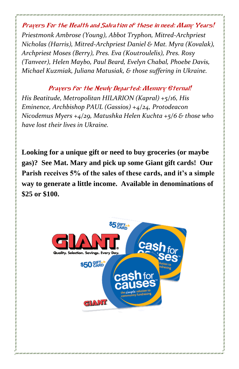Prayers For the Health and Salvation of those in need: Many Years! *Priestmonk Ambrose (Young), Abbot Tryphon, Mitred-Archpriest Nicholas (Harris), Mitred-Archpriest Daniel & Mat. Myra (Kovalak), Archpriest Moses (Berry), Pres. Eva (Koutroulelis), Pres. Rosy (Tanveer), Helen Maybo, Paul Beard, Evelyn Chabal, Phoebe Davis, Michael Kuzmiak, Juliana Matusiak, & those suffering in Ukraine.*

Prayers for the Newly Departed: Memory Eternal! *His Beatitude, Metropolitan HILARION (Kapral) +5/16, His Eminence, Archbishop PAUL (Gassios) +4/24, Protodeacon Nicodemus Myers +4/29, Matushka Helen Kuchta +5/6 & those who have lost their lives in Ukraine.*

**Looking for a unique gift or need to buy groceries (or maybe gas)? See Mat. Mary and pick up some Giant gift cards! Our Parish receives 5% of the sales of these cards, and it's a simple way to generate a little income. Available in denominations of \$25 or \$100.**